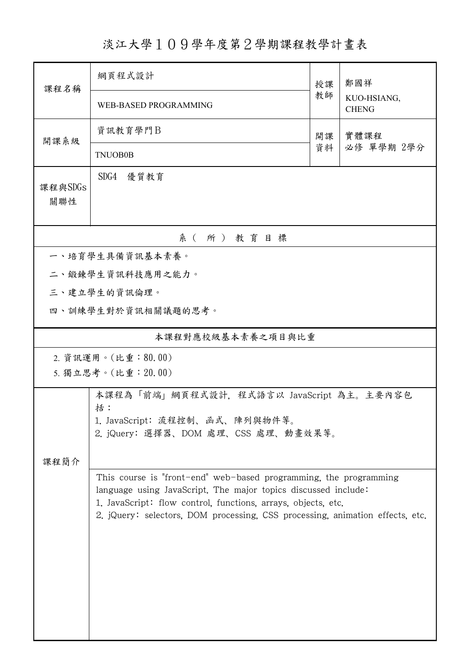## 淡江大學109學年度第2學期課程教學計畫表

| 課程名稱                                                                                                                                                                                                                                                                                  | 網頁程式設計                                    | 授課 | 鄭國祥<br>KUO-HSIANG,<br><b>CHENG</b> |  |  |  |  |  |  |
|---------------------------------------------------------------------------------------------------------------------------------------------------------------------------------------------------------------------------------------------------------------------------------------|-------------------------------------------|----|------------------------------------|--|--|--|--|--|--|
|                                                                                                                                                                                                                                                                                       | WEB-BASED PROGRAMMING                     | 教師 |                                    |  |  |  |  |  |  |
| 開課系級                                                                                                                                                                                                                                                                                  | 資訊教育學門B                                   | 開課 | 實體課程<br>必修 單學期 2學分                 |  |  |  |  |  |  |
|                                                                                                                                                                                                                                                                                       | <b>TNUOB0B</b>                            | 資料 |                                    |  |  |  |  |  |  |
| 課程與SDGs<br>關聯性                                                                                                                                                                                                                                                                        | SDG4 優質教育                                 |    |                                    |  |  |  |  |  |  |
| 系(所)教育目標                                                                                                                                                                                                                                                                              |                                           |    |                                    |  |  |  |  |  |  |
|                                                                                                                                                                                                                                                                                       | 一、培育學生具備資訊基本素養。                           |    |                                    |  |  |  |  |  |  |
|                                                                                                                                                                                                                                                                                       | 二、鍛鍊學生資訊科技應用之能力。                          |    |                                    |  |  |  |  |  |  |
|                                                                                                                                                                                                                                                                                       | 三、建立學生的資訊倫理。                              |    |                                    |  |  |  |  |  |  |
|                                                                                                                                                                                                                                                                                       | 四、訓練學生對於資訊相關議題的思考。                        |    |                                    |  |  |  |  |  |  |
|                                                                                                                                                                                                                                                                                       | 本課程對應校級基本素養之項目與比重                         |    |                                    |  |  |  |  |  |  |
|                                                                                                                                                                                                                                                                                       | 2. 資訊運用。(比重:80.00)                        |    |                                    |  |  |  |  |  |  |
|                                                                                                                                                                                                                                                                                       | 5. 獨立思考。(比重: 20.00)                       |    |                                    |  |  |  |  |  |  |
|                                                                                                                                                                                                                                                                                       | 本課程為「前端」網頁程式設計, 程式語言以 JavaScript 為主。主要內容包 |    |                                    |  |  |  |  |  |  |
|                                                                                                                                                                                                                                                                                       | 括:<br>1. JavaScript: 流程控制、函式、陣列與物件等。      |    |                                    |  |  |  |  |  |  |
| 2. jQuery: 選擇器、DOM 處理、CSS 處理、動畫效果等。                                                                                                                                                                                                                                                   |                                           |    |                                    |  |  |  |  |  |  |
| 課程簡介                                                                                                                                                                                                                                                                                  |                                           |    |                                    |  |  |  |  |  |  |
| This course is "front-end" web-based programming, the programming<br>language using JavaScript. The major topics discussed include:<br>1. JavaScript: flow control, functions, arrays, objects, etc.<br>2. jQuery: selectors, DOM processing, CSS processing, animation effects, etc. |                                           |    |                                    |  |  |  |  |  |  |
|                                                                                                                                                                                                                                                                                       |                                           |    |                                    |  |  |  |  |  |  |
|                                                                                                                                                                                                                                                                                       |                                           |    |                                    |  |  |  |  |  |  |
|                                                                                                                                                                                                                                                                                       |                                           |    |                                    |  |  |  |  |  |  |
|                                                                                                                                                                                                                                                                                       |                                           |    |                                    |  |  |  |  |  |  |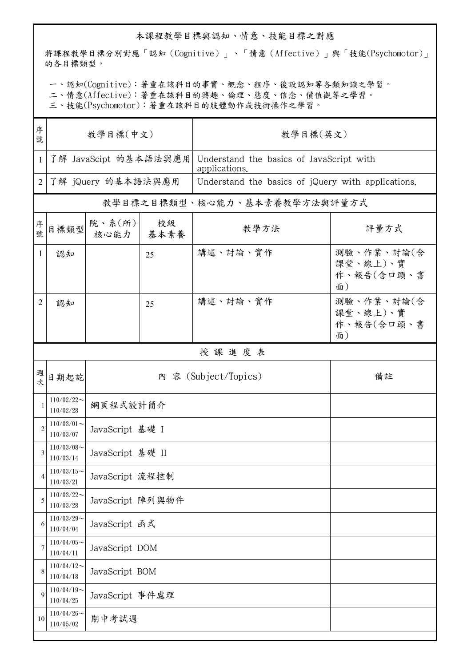## 本課程教學目標與認知、情意、技能目標之對應

將課程教學目標分別對應「認知(Cognitive)」、「情意(Affective)」與「技能(Psychomotor)」 的各目標類型。

一、認知(Cognitive):著重在該科目的事實、概念、程序、後設認知等各類知識之學習。

二、情意(Affective):著重在該科目的興趣、倫理、態度、信念、價值觀等之學習。

三、技能(Psychomotor):著重在該科目的肢體動作或技術操作之學習。

| 序<br>號         | 教學目標(中文)                   |                  |            | 教學目標(英文)                                                  |                                            |  |  |  |
|----------------|----------------------------|------------------|------------|-----------------------------------------------------------|--------------------------------------------|--|--|--|
| $\mathbf{1}$   | 了解 JavaScipt 的基本語法與應用      |                  |            | Understand the basics of JavaScript with<br>applications. |                                            |  |  |  |
| $\overline{2}$ | 了解 jQuery 的基本語法與應用         |                  |            | Understand the basics of jQuery with applications.        |                                            |  |  |  |
|                |                            |                  |            | 教學目標之目標類型、核心能力、基本素養教學方法與評量方式                              |                                            |  |  |  |
| 序號             | 目標類型                       | 院、系(所)<br>核心能力   | 校級<br>基本素養 | 教學方法                                                      | 評量方式                                       |  |  |  |
| $\mathbf{1}$   | 認知                         |                  | 25         | 講述、討論、實作                                                  | 測驗、作業、討論(含<br>課堂、線上)、實<br>作、報告(含口頭、書<br>面) |  |  |  |
| 2              | 認知                         |                  | 25         | 講述、討論、實作                                                  | 測驗、作業、討論(含<br>課堂、線上)、實<br>作、報告(含口頭、書<br>面) |  |  |  |
|                | 授課進度表                      |                  |            |                                                           |                                            |  |  |  |
| 週次             | 日期起訖                       |                  |            | 內 容 (Subject/Topics)                                      | 備註                                         |  |  |  |
|                | $110/02/22$ ~<br>110/02/28 | 網頁程式設計簡介         |            |                                                           |                                            |  |  |  |
| $\mathcal{P}$  | $110/03/01$ ~<br>110/03/07 | JavaScript 基礎 I  |            |                                                           |                                            |  |  |  |
|                | $110/03/08$ ~<br>110/03/14 | JavaScript 基礎 II |            |                                                           |                                            |  |  |  |
| 4              | $110/03/15$ ~<br>110/03/21 | JavaScript 流程控制  |            |                                                           |                                            |  |  |  |
| 5              | $110/03/22$ ~<br>110/03/28 | JavaScript 陣列與物件 |            |                                                           |                                            |  |  |  |
| 6              | $110/03/29$ ~<br>110/04/04 | JavaScript 函式    |            |                                                           |                                            |  |  |  |
|                | $110/04/05$ ~<br>110/04/11 | JavaScript DOM   |            |                                                           |                                            |  |  |  |
| 8              | $110/04/12$ ~<br>110/04/18 | JavaScript BOM   |            |                                                           |                                            |  |  |  |
| 9              | $110/04/19$ ~<br>110/04/25 | JavaScript 事件處理  |            |                                                           |                                            |  |  |  |
| 10             | $110/04/26$ ~<br>110/05/02 | 期中考試週            |            |                                                           |                                            |  |  |  |